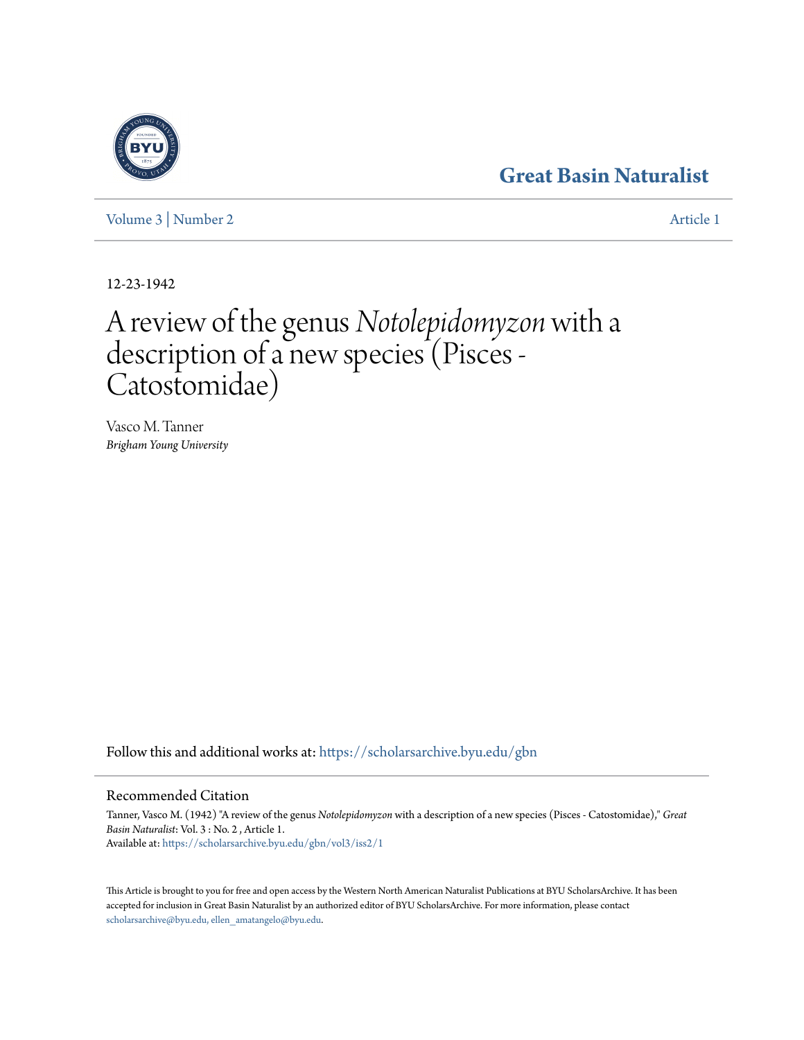### **[Great Basin Naturalist](https://scholarsarchive.byu.edu/gbn?utm_source=scholarsarchive.byu.edu%2Fgbn%2Fvol3%2Fiss2%2F1&utm_medium=PDF&utm_campaign=PDFCoverPages)**

[Volume 3](https://scholarsarchive.byu.edu/gbn/vol3?utm_source=scholarsarchive.byu.edu%2Fgbn%2Fvol3%2Fiss2%2F1&utm_medium=PDF&utm_campaign=PDFCoverPages) | [Number 2](https://scholarsarchive.byu.edu/gbn/vol3/iss2?utm_source=scholarsarchive.byu.edu%2Fgbn%2Fvol3%2Fiss2%2F1&utm_medium=PDF&utm_campaign=PDFCoverPages) [Article 1](https://scholarsarchive.byu.edu/gbn/vol3/iss2/1?utm_source=scholarsarchive.byu.edu%2Fgbn%2Fvol3%2Fiss2%2F1&utm_medium=PDF&utm_campaign=PDFCoverPages)

12-23-1942

# A review of the genus*Notolepidomyzon* with a description of a new species (Pisces - Catostomidae)

Vasco M. Tanner *Brigham Young University*

Follow this and additional works at: [https://scholarsarchive.byu.edu/gbn](https://scholarsarchive.byu.edu/gbn?utm_source=scholarsarchive.byu.edu%2Fgbn%2Fvol3%2Fiss2%2F1&utm_medium=PDF&utm_campaign=PDFCoverPages)

### Recommended Citation

Tanner, Vasco M. (1942) "A review of the genus *Notolepidomyzon* with a description of a new species (Pisces - Catostomidae)," *Great Basin Naturalist*: Vol. 3 : No. 2 , Article 1. Available at: [https://scholarsarchive.byu.edu/gbn/vol3/iss2/1](https://scholarsarchive.byu.edu/gbn/vol3/iss2/1?utm_source=scholarsarchive.byu.edu%2Fgbn%2Fvol3%2Fiss2%2F1&utm_medium=PDF&utm_campaign=PDFCoverPages)

This Article is brought to you for free and open access by the Western North American Naturalist Publications at BYU ScholarsArchive. It has been accepted for inclusion in Great Basin Naturalist by an authorized editor of BYU ScholarsArchive. For more information, please contact [scholarsarchive@byu.edu, ellen\\_amatangelo@byu.edu.](mailto:scholarsarchive@byu.edu,%20ellen_amatangelo@byu.edu)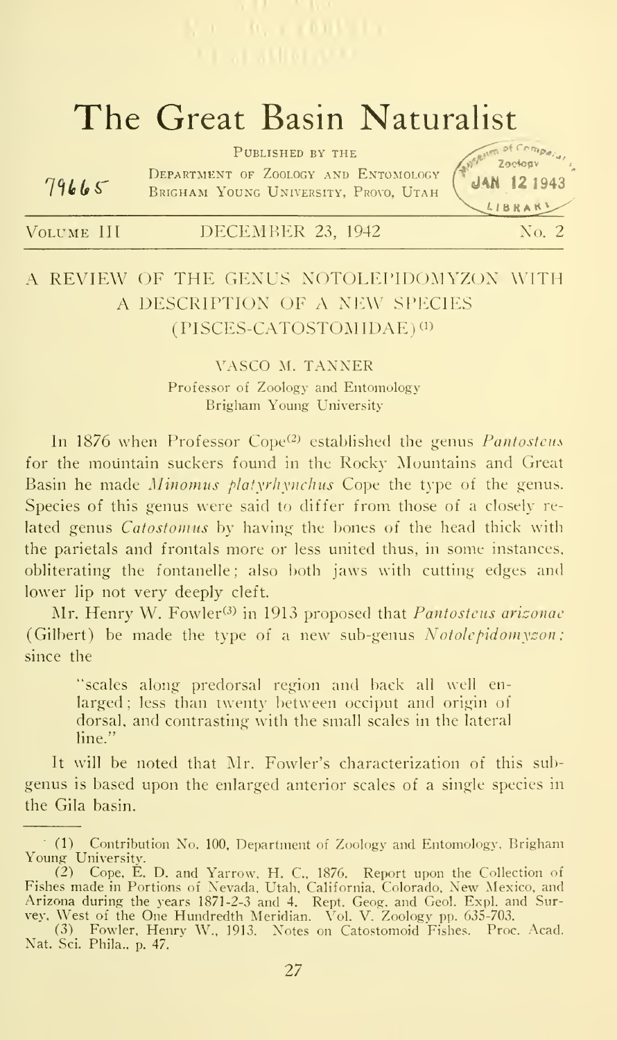## The Great Basin Naturalist

|       | PUBLISHED BY THE                                                              | Zociogy                 |
|-------|-------------------------------------------------------------------------------|-------------------------|
| 79665 | DEPARTMENT OF ZOOLOGY AND ENTOMOLOGY<br>BRIGHAM YOUNG UNIVERSITY, PROVO, UTAH | $JAN$ 12 1943<br>LIBRAK |

| VOLUME III | DECEMBER 23, 1942 |  | No. 2 |
|------------|-------------------|--|-------|
|------------|-------------------|--|-------|

### A REVIEW OF THE GENUS NOTOLEPIDOMYZON WITH A DESCRIPTION OF A NEW SPECIES  $(PISCES-CATOSTOMIDAE)^{(1)}$

### VASCO M. TANNER Professor of Zoology and Entomology Brigham Young University

In  $1876$  when Professor Cope<sup>(2)</sup> established the genus *Pantostcus* for the mountain suckers found in the Rocky Mountains and Great Basin he made Minomus platyrhynchus Cope the type of the genus. Species of this genus were said to differ from those of a closely re lated genus Catostomus by having the bones of the head thick with the parietals and frontals more or less united thus, in some instances, obliterating the fontanelle; also both jaws with cutting edges and lower lip not very deeply cleft.

Mr. Henry W. Fowler<sup>(3)</sup> in 1913 proposed that *Pantosteus arizonae* (Gilbert) be made the type of a new sub-genus  $Notolepidom$  yson; since the

"scales along predorsal region and back all well enlarged; less than twenty between occiput and origin of dorsal, and contrasting with the small scales in the lateral line."

It will be noted that Mr. Fowler's characterization of this subgenus is based upon the enlarged anterior scales of a single species in the Gila basin.

<sup>(1)</sup> Contribution No. 100, Department of Zoology and Entomology, Brigham Young University.

<sup>(2)</sup> Cope, E. D. and Yarrow, H. C., 1876. Report upon the Collection of<br>Fishes made in Portions of Nevada, Utah, California, Colorado, New Mexico, and<br>Arizona during the years 1871-2-3 and 4. Rept. Geog. and Geol. Expl. and

<sup>(3)</sup> Fowler, Henrv W., 1913. Notes on Catostomoid Fishes. Proc. Acad. Nat. Sci. Phila., p. 47.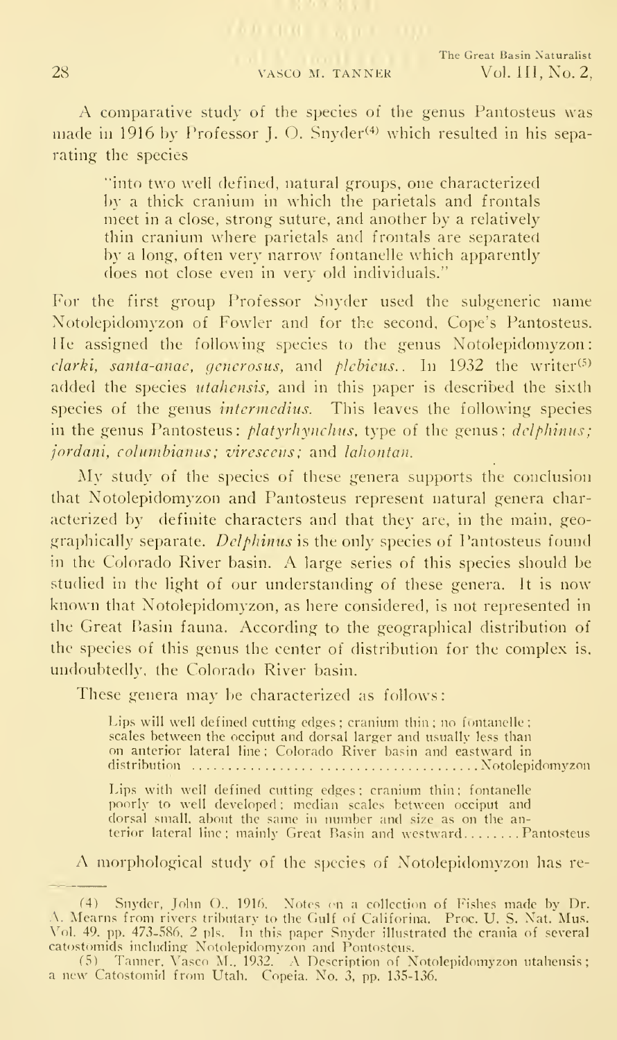28 VASCO M. TANNER

A comparative study of the species of the genus Pantosteus was made in 1916 by Professor J. O. Snyder<sup>(4)</sup> which resulted in his separating the species

"into two well defined, natural groups, one characterized by a thick cranium in which the parietals and frontals meet in a close, strong suture, and another by a relatively thin cranium where parietals and frontals are separated by a long, often very narrow fontanelle which apparently does not close even in very old individuals."

For the first group Professor Snyder used the subgeneric name Notolepidomyzon of Fowler and for the second, Cope's Pantosteus. He assigned the following species to the genus Notolepidomyzon:  $clarki$ , santa-anae, generosus, and plebieus.. In 1932 the writer<sup>(5)</sup> added the species *utahensis*, and in this paper is described the sixth species of the genus *intermedius*. This leaves the following species in the genus Pantosteus: *platyrhynchus*, type of the genus;  $deblinus$ ; jordani, columbianus; viresceus; and lahontan.

My study of the species of these genera supports the conclusion that Notolepidomyzon and Pantosteus represent natural genera characterized by definite characters and that they are, in the main, geographically separate. Delphinus is the only species of Pantosteus found in the Colorado River basin. A large series of this species should be studied in the light of our understanding of these genera. It is now known that Notolepidomyzon, as here considered, is not represented in the Great Basin fauna. According to the geographical distribution of the species of this genus the center of distribution for the complex is, undoubtedly, the Colorado River basin.

These genera may be characterized as follows:

Lips will well defined cutting edges ; cranium thin ; no fontanelle ; scales between the occiput and dorsal larger and usually less than on anterior lateral line : Colorado River basin and eastward in distribution Notolepidomyzon

Lips with well defined cutting edges ; cranium thin ; fontanelle poorly to well developed ; median scales between occiput and dorsal small, about the same in number and size as on the anterior lateral line; mainly Great Basin and westward........Pantosteus —

A morphological study of the species of Notolepidomyzon has re-

<sup>(4)</sup> Snyder, John O., 1916. Notes en a collection of Fishes made by Dr. A. Mearns from rivers tributary to the Gulf of Califorina. Proc. U. S. Nat. Mus.<br>Vol. 49. pp. 473-586. 2 pls. In this paper Snyder illustrated the crania of several

catostomids including Notolepidomyzon and Pontosteus. <sup>f</sup> 5) Tanner. Vasco M.. 1932. A Description of Notolepidomyzon utahensis <sup>a</sup> new Catostoniid from LItah. Copeia. No. 3, pp. 135-L36.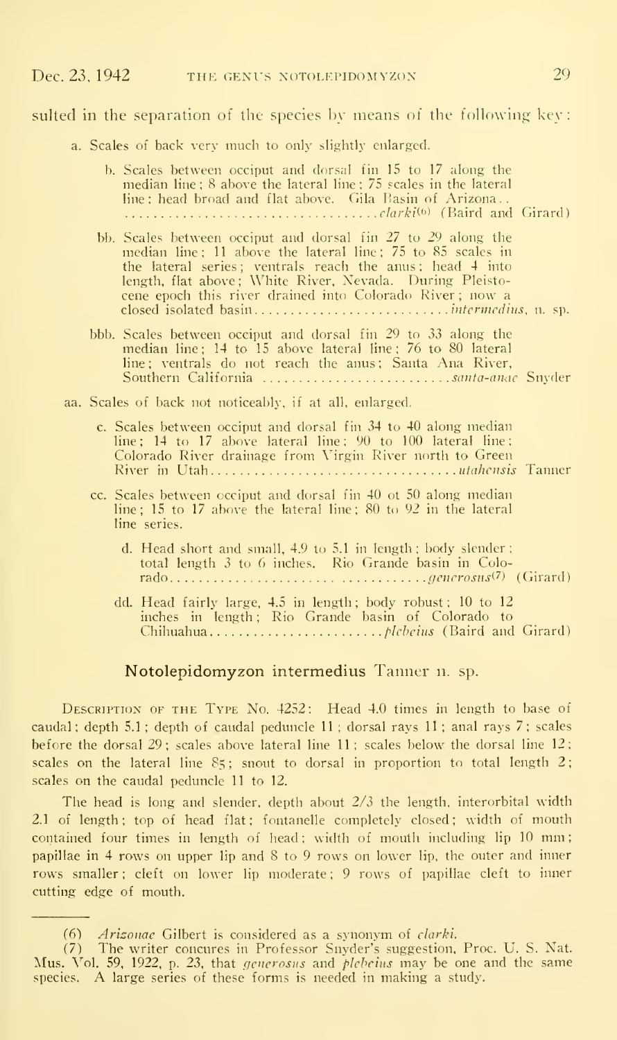### sulted in the separation of the species by means of the following key:

a. Scales of back very much to only slightly enlarged.

|  | b. Scales between occiput and dorsal fin 15 to 17 along the<br>median line; $8$ above the lateral line; $75$ scales in the lateral<br>line: head broad and flat above. Gila Basin of Arizona                                                                                                                   |
|--|----------------------------------------------------------------------------------------------------------------------------------------------------------------------------------------------------------------------------------------------------------------------------------------------------------------|
|  | bb. Scales between occiput and dorsal fin 27 to 29 along the<br>median line: 11 above the lateral line; 75 to 85 scales in<br>the lateral series; ventrals reach the anus; head 4 into<br>length, flat above; White River, Nevada. During Pleisto-<br>cene epoch this river drained into Colorado River; now a |
|  | bbb. Scales between occiput and dorsal fin 29 to 33 along the<br>median line: 14 to 15 above lateral line: 76 to 80 lateral<br>line; ventrals do not reach the anus; Santa Ana River,<br>Southern California <i>santa-anae</i> Snyder                                                                          |
|  | aa. Scales of back not noticeably, if at all, enlarged.                                                                                                                                                                                                                                                        |
|  | c. Scales between occiput and dorsal fin 34 to 40 along median<br>$line: 14$ to 17 above lateral line: $90$ to $100$ lateral line:<br>Colorado River drainage from Virgin River north to Green                                                                                                                 |
|  | cc. Scales between occiput and dorsal fin 40 ot 50 along median<br>line; 15 to 17 above the lateral line; 80 to 92 in the lateral<br>line series.                                                                                                                                                              |
|  | d. Head short and small, 4.9 to 5.1 in length; body slender;<br>total length 3 to 6 inches. Rio Grande basin in Colo-                                                                                                                                                                                          |
|  | dd. Head fairly large, 4.5 in length; body robust; 10 to 12<br>inches in length; Rio Grande basin of Colorado to                                                                                                                                                                                               |

#### Notolepidomyzon intermedius Tanner n. sp.

Description of the Type No. 4252: Head 4.0 times in length to base of caudal; depth 5.1 ; depth of caudal peduncle 11 ; dorsal rays 11 ; anal rays 7; scales before the dorsal 29; scales above lateral line <sup>11</sup> : scales below the dorsal line 12; scales on the lateral line  $85$ ; snout to dorsal in proportion to total length  $2$ ; scales on the caudal peduncle 11 to 12.

The head is long and slender, depth about 2/3 the length, interorbital width 2.1 of length; top of head flat; fontanelle completely closed; width of mouth contained four times in length of head; width of mouth including lip 10 mm; papillae in 4 rows on upper lip and 8 to 9 rows on lower lip, the outer and inner rows smaller ; cleft on lower lip moderate ; 9 rows of papillae cleft to inner cutting edge of mouth.

<sup>(6)</sup> Ariconac Gilbert is considered as a synonym of clarki.

<sup>(7)</sup> The writer concures in Professor Snyder's suggestion, Proc. U. S. Nat. Mus. Vol. 59, 1922, p. 23, that *generosus* and *plebeius* may be one and the same species. A large series of these forms is needed in making a stu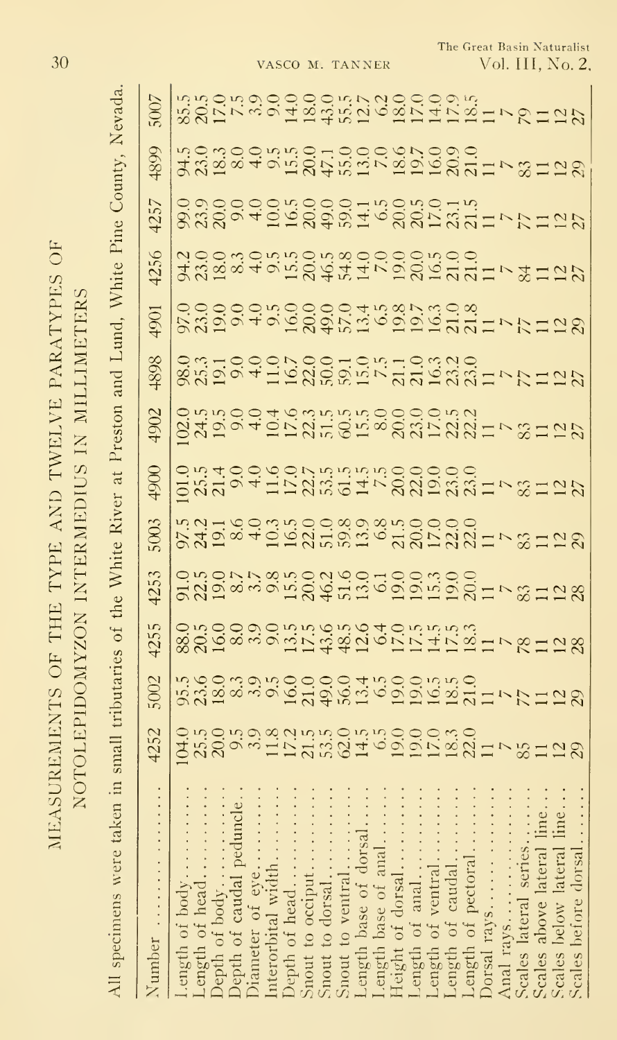|                                                  | NOTOLEPIDOMYZON INTERMEDIUS IN MILLIMETERS |
|--------------------------------------------------|--------------------------------------------|
|                                                  |                                            |
|                                                  |                                            |
|                                                  |                                            |
|                                                  |                                            |
|                                                  |                                            |
|                                                  |                                            |
| MEASUREMENTS OF THE TYPE AND TWELVE PARATYPES OF |                                            |

E

| All specimens wer                                                                                                                                                                                                    |                                       |                   |                                           | the                                |                                      |              | restor                     |      | Lund                                                          |                                     | Pine                        | CountV                                               |                                               |
|----------------------------------------------------------------------------------------------------------------------------------------------------------------------------------------------------------------------|---------------------------------------|-------------------|-------------------------------------------|------------------------------------|--------------------------------------|--------------|----------------------------|------|---------------------------------------------------------------|-------------------------------------|-----------------------------|------------------------------------------------------|-----------------------------------------------|
| Number                                                                                                                                                                                                               | 1252                                  | 602               | 425                                       | 125                                | $\widetilde{\infty}$                 | <u> 2061</u> | 1902                       | 1898 | $90^{\circ}$                                                  | 4256                                | 4257                        | 4899                                                 |                                               |
| Length of body<br>Length of head<br>Depth of caudal pectrology<br>Depth of caudal pectrical width<br>Diameter of eye<br>There of the sectrical width<br>Depth of head<br>Snout to dorsal<br>Snout to ventral<br>Leng |                                       |                   |                                           |                                    |                                      |              |                            |      |                                                               |                                     |                             |                                                      |                                               |
|                                                                                                                                                                                                                      |                                       |                   |                                           |                                    |                                      |              |                            |      |                                                               |                                     |                             |                                                      |                                               |
|                                                                                                                                                                                                                      | のあのするおはあるのはほのののはのかいでもはなのである。これはみのはある。 | ふねのはのほののののはほののほぼの | 882683055年後は655日に2日で2128の5009055555105555 | 1222×5850245259252525×81285535×528 | おみはものはそのの思うなこのののので、約HPのおかなりものにあるという。 |              | 85300463535853000053217812 |      | ののののではのののではぶぁ? 3.3 ミーマケロに 2.3 しいののうち ちののの 4.5 ぁ? 3.3 ミーマケロに 2 | みぬのふりふぶのふぁののののふのので、タロログスののふのう。そのこと。 | 83894568\$\$746885331777127 | おぶはしのままのけのののですがのののようのはひめにのはのです。そのはあわれることのか、そのかまではない。 | 58のほうののののほごにいいのでは、こうのけにない。 いいりょうのうのう ほうこう いいり |
|                                                                                                                                                                                                                      |                                       |                   |                                           |                                    |                                      |              |                            |      |                                                               |                                     |                             |                                                      |                                               |
|                                                                                                                                                                                                                      |                                       |                   |                                           |                                    |                                      |              |                            |      |                                                               |                                     |                             |                                                      |                                               |
|                                                                                                                                                                                                                      |                                       |                   |                                           |                                    |                                      |              |                            |      |                                                               |                                     |                             |                                                      |                                               |
|                                                                                                                                                                                                                      |                                       |                   |                                           |                                    |                                      |              |                            |      |                                                               |                                     |                             |                                                      |                                               |
|                                                                                                                                                                                                                      |                                       |                   |                                           |                                    |                                      |              |                            |      |                                                               |                                     |                             |                                                      |                                               |
|                                                                                                                                                                                                                      |                                       |                   |                                           |                                    |                                      |              |                            |      |                                                               |                                     |                             |                                                      |                                               |
|                                                                                                                                                                                                                      |                                       |                   |                                           |                                    |                                      |              |                            |      |                                                               |                                     |                             |                                                      |                                               |
|                                                                                                                                                                                                                      |                                       |                   |                                           |                                    |                                      |              |                            |      |                                                               |                                     |                             |                                                      |                                               |
|                                                                                                                                                                                                                      |                                       |                   |                                           |                                    |                                      |              |                            |      |                                                               |                                     |                             |                                                      |                                               |
|                                                                                                                                                                                                                      |                                       |                   |                                           |                                    |                                      |              |                            |      |                                                               |                                     |                             |                                                      |                                               |
|                                                                                                                                                                                                                      |                                       |                   |                                           |                                    |                                      |              |                            |      |                                                               |                                     |                             |                                                      |                                               |
|                                                                                                                                                                                                                      |                                       |                   |                                           |                                    |                                      |              |                            |      |                                                               |                                     |                             |                                                      |                                               |
|                                                                                                                                                                                                                      |                                       |                   |                                           |                                    |                                      |              |                            |      |                                                               |                                     |                             |                                                      |                                               |
|                                                                                                                                                                                                                      |                                       |                   |                                           |                                    |                                      |              |                            |      |                                                               |                                     |                             |                                                      |                                               |
|                                                                                                                                                                                                                      |                                       |                   |                                           |                                    |                                      |              |                            |      |                                                               |                                     |                             |                                                      |                                               |
|                                                                                                                                                                                                                      |                                       |                   |                                           |                                    |                                      |              |                            |      |                                                               |                                     |                             |                                                      |                                               |
|                                                                                                                                                                                                                      |                                       |                   |                                           |                                    |                                      |              |                            |      |                                                               |                                     |                             |                                                      |                                               |
|                                                                                                                                                                                                                      |                                       |                   |                                           |                                    |                                      |              |                            |      |                                                               |                                     |                             |                                                      |                                               |
|                                                                                                                                                                                                                      |                                       |                   |                                           |                                    |                                      |              |                            |      |                                                               |                                     |                             |                                                      |                                               |
| Anal rays<br>Scales lateral series<br>Scales above lateral l<br>Scales below lateral l<br>Scales before dorsal                                                                                                       |                                       |                   |                                           |                                    |                                      |              |                            |      |                                                               |                                     |                             |                                                      |                                               |

The Great Basin Naturalist

vasco m. tanner  $Vol. III, No. 2.$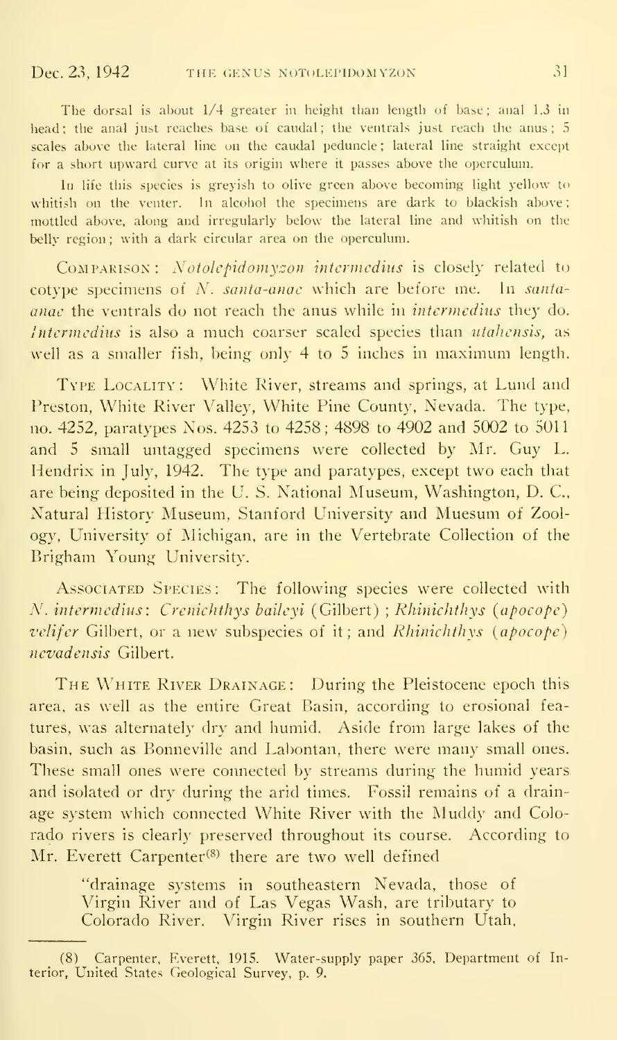The dorsal is about 1/4 greater in height than length of base; anal 1.3 in head; the anal just reaches base of caudal; the ventrals just reach the anus; 5 scales above the lateral line on the caudal peduncle; lateral line straight except for a short upward curve at its origin where it passes above the operculum.

In life this species is greyish to olive green above becoming light yellow to whitish on the venter. In alcohol the specimens are dark to blackish above; mottled above, along and irregularly below the lateral line and whitish on the belly region; with a dark circular area on the operculum.

COMPARISON: Notolepidomyzon intermedius is closely related to cotype specimens of  $N$ , santa-anac which are before me. In santaanac the ventrals do not reach the anus while in intermedins they do. Intermedius is also a much coarser scaled species than utahensis, as well as <sup>a</sup> smaller fish, being only 4 to <sup>5</sup> inches in maximum length.

TYPE LOCALITY: White River, streams and springs, at Lund and Preston, White River Valley, White Pine County, Nevada. The type, no. 4252, paratypes Nos. 4253 to 4258; 4898 to 4902 and 5002 to 5011 and <sup>5</sup> small untagged specimens were collected by Mr. Guy L. Hendrix in July, 1942. The type and paratypes, except two each that are being deposited in the U. S. National Museum, Washington, D. C, Natural History Museum, Stanford University and Muesum of Zoology, University of Michigan, are in the Vertebrate Collection of the Brigham Young University.

Associated Species: The following species were collected with N. intermedius: Crenichthys baileyi (Gilbert) ; Rhinichthys (apocope) velifer Gilbert, or a new subspecies of it; and Rhinichthys (apocope) nevadensis Gilbert.

THE WHITE RIVER DRAINAGE: During the Pleistocene epoch this area, as well as the entire Great Basin, according to erosional features, was alternately dry and humid. Aside from large lakes of the basin, such as Bonneville and Labontan, there were many small ones. These small ones were connected by streams during the humid years and isolated or dry during the arid times. Fossil remains of a drainage system which connected White River with the Muddy and Colorado rivers is clearly preserved throughout its course. According to Mr. Everett Carpenter<sup>(8)</sup> there are two well defined

"drainage systems in southeastern Nevada, those of Virgin River and of Las Vegas Wash, are tributary to Colorado River. Virgin River rises in southern Utah,

<sup>(8)</sup> Carpenter, Everett, 1915. Water-supply paper 365, Department of Interior, United States Geological Survey, p. 9.